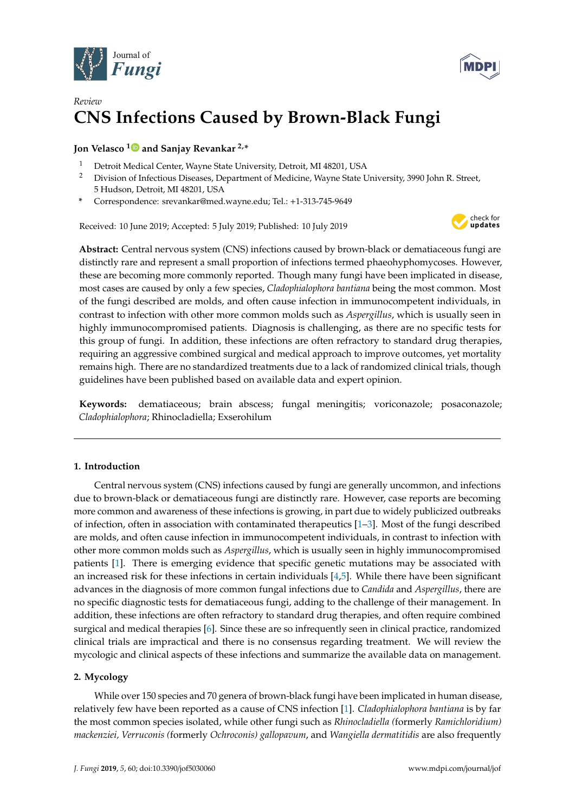



# *Review* **CNS Infections Caused by Brown-Black Fungi**

# **Jon Velasco [1](https://orcid.org/0000-0002-1768-5072) and Sanjay Revankar 2,\***

- <sup>1</sup> Detroit Medical Center, Wayne State University, Detroit, MI 48201, USA<br><sup>2</sup> Division of Infectious Diseases, Department of Medicine, Wayne State I
- <sup>2</sup> Division of Infectious Diseases, Department of Medicine, Wayne State University, 3990 John R. Street, 5 Hudson, Detroit, MI 48201, USA
- **\*** Correspondence: srevankar@med.wayne.edu; Tel.: +1-313-745-9649

Received: 10 June 2019; Accepted: 5 July 2019; Published: 10 July 2019



**Abstract:** Central nervous system (CNS) infections caused by brown-black or dematiaceous fungi are distinctly rare and represent a small proportion of infections termed phaeohyphomycoses. However, these are becoming more commonly reported. Though many fungi have been implicated in disease, most cases are caused by only a few species, *Cladophialophora bantiana* being the most common. Most of the fungi described are molds, and often cause infection in immunocompetent individuals, in contrast to infection with other more common molds such as *Aspergillus*, which is usually seen in highly immunocompromised patients. Diagnosis is challenging, as there are no specific tests for this group of fungi. In addition, these infections are often refractory to standard drug therapies, requiring an aggressive combined surgical and medical approach to improve outcomes, yet mortality remains high. There are no standardized treatments due to a lack of randomized clinical trials, though guidelines have been published based on available data and expert opinion.

**Keywords:** dematiaceous; brain abscess; fungal meningitis; voriconazole; posaconazole; *Cladophialophora*; Rhinocladiella; Exserohilum

# **1. Introduction**

Central nervous system (CNS) infections caused by fungi are generally uncommon, and infections due to brown-black or dematiaceous fungi are distinctly rare. However, case reports are becoming more common and awareness of these infections is growing, in part due to widely publicized outbreaks of infection, often in association with contaminated therapeutics [\[1](#page-6-0)[–3\]](#page-6-1). Most of the fungi described are molds, and often cause infection in immunocompetent individuals, in contrast to infection with other more common molds such as *Aspergillus*, which is usually seen in highly immunocompromised patients [\[1\]](#page-6-0). There is emerging evidence that specific genetic mutations may be associated with an increased risk for these infections in certain individuals [\[4](#page-6-2)[,5\]](#page-6-3). While there have been significant advances in the diagnosis of more common fungal infections due to *Candida* and *Aspergillus*, there are no specific diagnostic tests for dematiaceous fungi, adding to the challenge of their management. In addition, these infections are often refractory to standard drug therapies, and often require combined surgical and medical therapies [\[6\]](#page-6-4). Since these are so infrequently seen in clinical practice, randomized clinical trials are impractical and there is no consensus regarding treatment. We will review the mycologic and clinical aspects of these infections and summarize the available data on management.

# **2. Mycology**

While over 150 species and 70 genera of brown-black fungi have been implicated in human disease, relatively few have been reported as a cause of CNS infection [\[1\]](#page-6-0). *Cladophialophora bantiana* is by far the most common species isolated, while other fungi such as *Rhinocladiella (*formerly *Ramichloridium) mackenziei, Verruconis (*formerly *Ochroconis) gallopavum*, and *Wangiella dermatitidis* are also frequently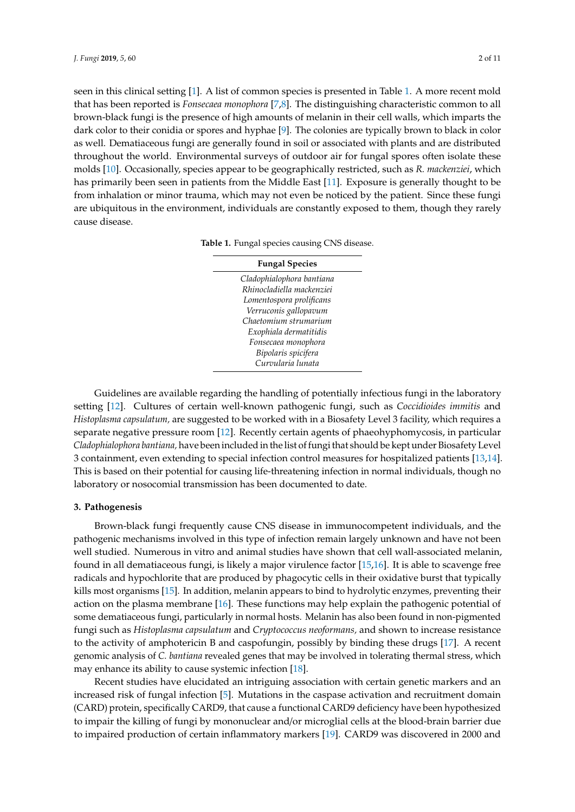seen in this clinical setting [\[1\]](#page-6-0). A list of common species is presented in Table [1.](#page-1-0) A more recent mold that has been reported is *Fonsecaea monophora* [\[7](#page-6-5)[,8\]](#page-6-6). The distinguishing characteristic common to all brown-black fungi is the presence of high amounts of melanin in their cell walls, which imparts the dark color to their conidia or spores and hyphae [\[9\]](#page-6-7). The colonies are typically brown to black in color as well. Dematiaceous fungi are generally found in soil or associated with plants and are distributed throughout the world. Environmental surveys of outdoor air for fungal spores often isolate these molds [\[10\]](#page-6-8). Occasionally, species appear to be geographically restricted, such as *R. mackenziei*, which has primarily been seen in patients from the Middle East [\[11\]](#page-6-9). Exposure is generally thought to be from inhalation or minor trauma, which may not even be noticed by the patient. Since these fungi are ubiquitous in the environment, individuals are constantly exposed to them, though they rarely cause disease.

<span id="page-1-0"></span>

|  |  |  | Table 1. Fungal species causing CNS disease. |  |  |
|--|--|--|----------------------------------------------|--|--|
|--|--|--|----------------------------------------------|--|--|

| <b>Fungal Species</b>     |  |  |  |  |
|---------------------------|--|--|--|--|
| Cladophialophora bantiana |  |  |  |  |
| Rhinocladiella mackenziei |  |  |  |  |
| Lomentospora prolificans  |  |  |  |  |
| Verruconis gallopavum     |  |  |  |  |
| Chaetomium strumarium     |  |  |  |  |
| Exophiala dermatitidis    |  |  |  |  |
| Fonsecaea monophora       |  |  |  |  |
| Bipolaris spicifera       |  |  |  |  |
| Curvularia lunata         |  |  |  |  |

Guidelines are available regarding the handling of potentially infectious fungi in the laboratory setting [\[12\]](#page-6-10). Cultures of certain well-known pathogenic fungi, such as *Coccidioides immitis* and *Histoplasma capsulatum,* are suggested to be worked with in a Biosafety Level 3 facility, which requires a separate negative pressure room [\[12\]](#page-6-10). Recently certain agents of phaeohyphomycosis, in particular *Cladophialophora bantiana,* have been included in the list of fungi that should be kept under Biosafety Level 3 containment, even extending to special infection control measures for hospitalized patients [\[13,](#page-6-11)[14\]](#page-6-12). This is based on their potential for causing life-threatening infection in normal individuals, though no laboratory or nosocomial transmission has been documented to date.

#### **3. Pathogenesis**

Brown-black fungi frequently cause CNS disease in immunocompetent individuals, and the pathogenic mechanisms involved in this type of infection remain largely unknown and have not been well studied. Numerous in vitro and animal studies have shown that cell wall-associated melanin, found in all dematiaceous fungi, is likely a major virulence factor [\[15,](#page-6-13)[16\]](#page-6-14). It is able to scavenge free radicals and hypochlorite that are produced by phagocytic cells in their oxidative burst that typically kills most organisms [\[15\]](#page-6-13). In addition, melanin appears to bind to hydrolytic enzymes, preventing their action on the plasma membrane [\[16\]](#page-6-14). These functions may help explain the pathogenic potential of some dematiaceous fungi, particularly in normal hosts. Melanin has also been found in non-pigmented fungi such as *Histoplasma capsulatum* and *Cryptococcus neoformans,* and shown to increase resistance to the activity of amphotericin B and caspofungin, possibly by binding these drugs [\[17\]](#page-6-15). A recent genomic analysis of *C. bantiana* revealed genes that may be involved in tolerating thermal stress, which may enhance its ability to cause systemic infection [\[18\]](#page-6-16).

Recent studies have elucidated an intriguing association with certain genetic markers and an increased risk of fungal infection [\[5\]](#page-6-3). Mutations in the caspase activation and recruitment domain (CARD) protein, specifically CARD9, that cause a functional CARD9 deficiency have been hypothesized to impair the killing of fungi by mononuclear and/or microglial cells at the blood-brain barrier due to impaired production of certain inflammatory markers [\[19\]](#page-6-17). CARD9 was discovered in 2000 and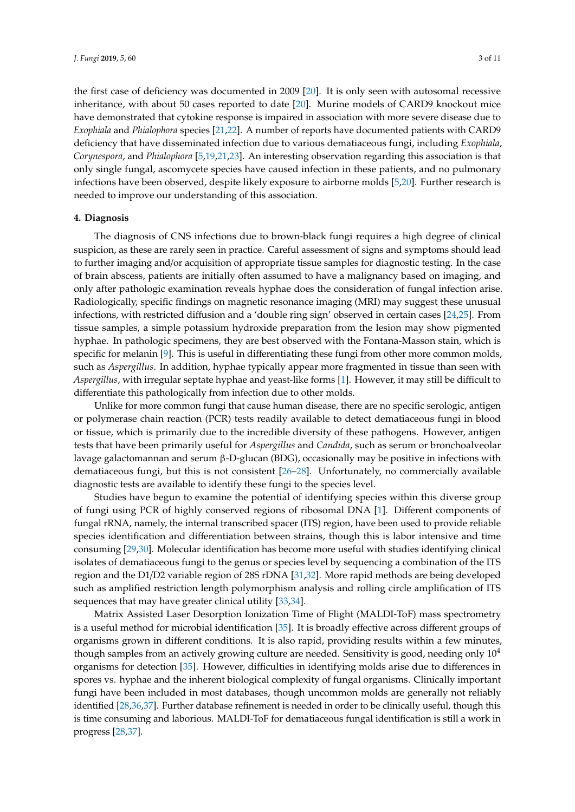the first case of deficiency was documented in 2009 [\[20\]](#page-6-18). It is only seen with autosomal recessive inheritance, with about 50 cases reported to date [\[20\]](#page-6-18). Murine models of CARD9 knockout mice have demonstrated that cytokine response is impaired in association with more severe disease due to *Exophiala* and *Phialophora* species [\[21](#page-7-0)[,22\]](#page-7-1). A number of reports have documented patients with CARD9 deficiency that have disseminated infection due to various dematiaceous fungi, including *Exophiala*, *Corynespora*, and *Phialophora* [\[5](#page-6-3)[,19,](#page-6-17)[21,](#page-7-0)[23\]](#page-7-2). An interesting observation regarding this association is that only single fungal, ascomycete species have caused infection in these patients, and no pulmonary infections have been observed, despite likely exposure to airborne molds [\[5](#page-6-3)[,20\]](#page-6-18). Further research is needed to improve our understanding of this association.

#### **4. Diagnosis**

The diagnosis of CNS infections due to brown-black fungi requires a high degree of clinical suspicion, as these are rarely seen in practice. Careful assessment of signs and symptoms should lead to further imaging and/or acquisition of appropriate tissue samples for diagnostic testing. In the case of brain abscess, patients are initially often assumed to have a malignancy based on imaging, and only after pathologic examination reveals hyphae does the consideration of fungal infection arise. Radiologically, specific findings on magnetic resonance imaging (MRI) may suggest these unusual infections, with restricted diffusion and a 'double ring sign' observed in certain cases [\[24,](#page-7-3)[25\]](#page-7-4). From tissue samples, a simple potassium hydroxide preparation from the lesion may show pigmented hyphae. In pathologic specimens, they are best observed with the Fontana-Masson stain, which is specific for melanin [\[9\]](#page-6-7). This is useful in differentiating these fungi from other more common molds, such as *Aspergillus*. In addition, hyphae typically appear more fragmented in tissue than seen with *Aspergillus*, with irregular septate hyphae and yeast-like forms [\[1\]](#page-6-0). However, it may still be difficult to differentiate this pathologically from infection due to other molds.

Unlike for more common fungi that cause human disease, there are no specific serologic, antigen or polymerase chain reaction (PCR) tests readily available to detect dematiaceous fungi in blood or tissue, which is primarily due to the incredible diversity of these pathogens. However, antigen tests that have been primarily useful for *Aspergillus* and *Candida*, such as serum or bronchoalveolar lavage galactomannan and serum β-D-glucan (BDG), occasionally may be positive in infections with dematiaceous fungi, but this is not consistent [\[26](#page-7-5)[–28\]](#page-7-6). Unfortunately, no commercially available diagnostic tests are available to identify these fungi to the species level.

Studies have begun to examine the potential of identifying species within this diverse group of fungi using PCR of highly conserved regions of ribosomal DNA [\[1\]](#page-6-0). Different components of fungal rRNA, namely, the internal transcribed spacer (ITS) region, have been used to provide reliable species identification and differentiation between strains, though this is labor intensive and time consuming [\[29,](#page-7-7)[30\]](#page-7-8). Molecular identification has become more useful with studies identifying clinical isolates of dematiaceous fungi to the genus or species level by sequencing a combination of the ITS region and the D1/D2 variable region of 28S rDNA [\[31,](#page-7-9)[32\]](#page-7-10). More rapid methods are being developed such as amplified restriction length polymorphism analysis and rolling circle amplification of ITS sequences that may have greater clinical utility [\[33,](#page-7-11)[34\]](#page-7-12).

Matrix Assisted Laser Desorption Ionization Time of Flight (MALDI-ToF) mass spectrometry is a useful method for microbial identification [\[35\]](#page-7-13). It is broadly effective across different groups of organisms grown in different conditions. It is also rapid, providing results within a few minutes, though samples from an actively growing culture are needed. Sensitivity is good, needing only  $10^4$ organisms for detection [\[35\]](#page-7-13). However, difficulties in identifying molds arise due to differences in spores vs. hyphae and the inherent biological complexity of fungal organisms. Clinically important fungi have been included in most databases, though uncommon molds are generally not reliably identified [\[28](#page-7-6)[,36](#page-7-14)[,37\]](#page-7-15). Further database refinement is needed in order to be clinically useful, though this is time consuming and laborious. MALDI-ToF for dematiaceous fungal identification is still a work in progress [\[28,](#page-7-6)[37\]](#page-7-15).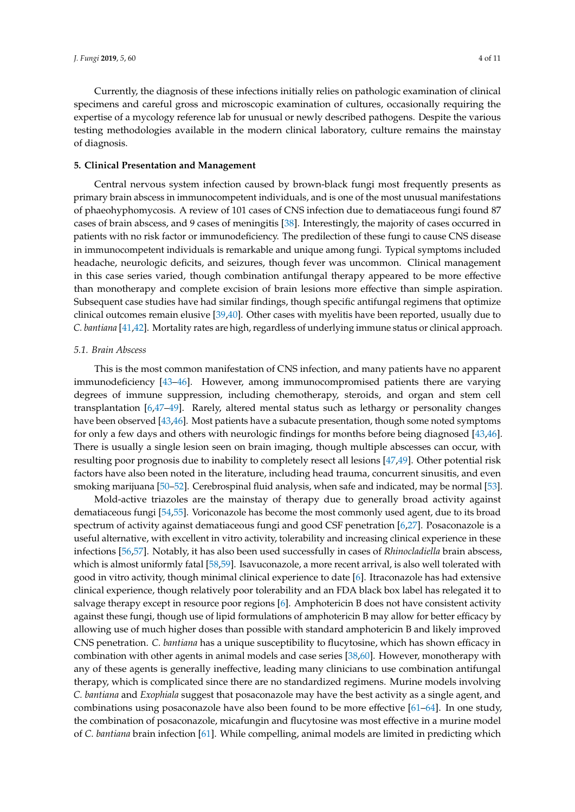Currently, the diagnosis of these infections initially relies on pathologic examination of clinical specimens and careful gross and microscopic examination of cultures, occasionally requiring the expertise of a mycology reference lab for unusual or newly described pathogens. Despite the various testing methodologies available in the modern clinical laboratory, culture remains the mainstay of diagnosis.

## **5. Clinical Presentation and Management**

Central nervous system infection caused by brown-black fungi most frequently presents as primary brain abscess in immunocompetent individuals, and is one of the most unusual manifestations of phaeohyphomycosis. A review of 101 cases of CNS infection due to dematiaceous fungi found 87 cases of brain abscess, and 9 cases of meningitis [\[38\]](#page-7-16). Interestingly, the majority of cases occurred in patients with no risk factor or immunodeficiency. The predilection of these fungi to cause CNS disease in immunocompetent individuals is remarkable and unique among fungi. Typical symptoms included headache, neurologic deficits, and seizures, though fever was uncommon. Clinical management in this case series varied, though combination antifungal therapy appeared to be more effective than monotherapy and complete excision of brain lesions more effective than simple aspiration. Subsequent case studies have had similar findings, though specific antifungal regimens that optimize clinical outcomes remain elusive [\[39,](#page-7-17)[40\]](#page-8-0). Other cases with myelitis have been reported, usually due to *C. bantiana* [\[41](#page-8-1)[,42\]](#page-8-2). Mortality rates are high, regardless of underlying immune status or clinical approach.

## *5.1. Brain Abscess*

This is the most common manifestation of CNS infection, and many patients have no apparent immunodeficiency [\[43](#page-8-3)[–46\]](#page-8-4). However, among immunocompromised patients there are varying degrees of immune suppression, including chemotherapy, steroids, and organ and stem cell transplantation [\[6,](#page-6-4)[47](#page-8-5)[–49\]](#page-8-6). Rarely, altered mental status such as lethargy or personality changes have been observed [\[43](#page-8-3)[,46\]](#page-8-4). Most patients have a subacute presentation, though some noted symptoms for only a few days and others with neurologic findings for months before being diagnosed [\[43,](#page-8-3)[46\]](#page-8-4). There is usually a single lesion seen on brain imaging, though multiple abscesses can occur, with resulting poor prognosis due to inability to completely resect all lesions [\[47](#page-8-5)[,49\]](#page-8-6). Other potential risk factors have also been noted in the literature, including head trauma, concurrent sinusitis, and even smoking marijuana [\[50](#page-8-7)[–52\]](#page-8-8). Cerebrospinal fluid analysis, when safe and indicated, may be normal [\[53\]](#page-8-9).

Mold-active triazoles are the mainstay of therapy due to generally broad activity against dematiaceous fungi [\[54](#page-8-10)[,55\]](#page-8-11). Voriconazole has become the most commonly used agent, due to its broad spectrum of activity against dematiaceous fungi and good CSF penetration [\[6,](#page-6-4)[27\]](#page-7-18). Posaconazole is a useful alternative, with excellent in vitro activity, tolerability and increasing clinical experience in these infections [\[56,](#page-8-12)[57\]](#page-8-13). Notably, it has also been used successfully in cases of *Rhinocladiella* brain abscess, which is almost uniformly fatal [\[58](#page-8-14)[,59\]](#page-8-15). Isavuconazole, a more recent arrival, is also well tolerated with good in vitro activity, though minimal clinical experience to date [\[6\]](#page-6-4). Itraconazole has had extensive clinical experience, though relatively poor tolerability and an FDA black box label has relegated it to salvage therapy except in resource poor regions [\[6\]](#page-6-4). Amphotericin B does not have consistent activity against these fungi, though use of lipid formulations of amphotericin B may allow for better efficacy by allowing use of much higher doses than possible with standard amphotericin B and likely improved CNS penetration. *C. bantiana* has a unique susceptibility to flucytosine, which has shown efficacy in combination with other agents in animal models and case series [\[38,](#page-7-16)[60\]](#page-9-0). However, monotherapy with any of these agents is generally ineffective, leading many clinicians to use combination antifungal therapy, which is complicated since there are no standardized regimens. Murine models involving *C. bantiana* and *Exophiala* suggest that posaconazole may have the best activity as a single agent, and combinations using posaconazole have also been found to be more effective [\[61–](#page-9-1)[64\]](#page-9-2). In one study, the combination of posaconazole, micafungin and flucytosine was most effective in a murine model of *C. bantiana* brain infection [\[61\]](#page-9-1). While compelling, animal models are limited in predicting which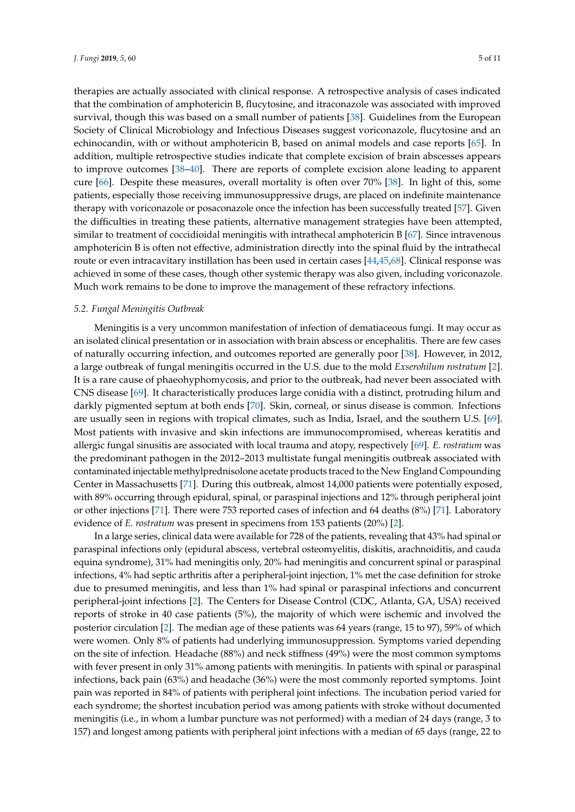therapies are actually associated with clinical response. A retrospective analysis of cases indicated that the combination of amphotericin B, flucytosine, and itraconazole was associated with improved survival, though this was based on a small number of patients [\[38\]](#page-7-16). Guidelines from the European Society of Clinical Microbiology and Infectious Diseases suggest voriconazole, flucytosine and an echinocandin, with or without amphotericin B, based on animal models and case reports [\[65\]](#page-9-3). In addition, multiple retrospective studies indicate that complete excision of brain abscesses appears to improve outcomes [\[38](#page-7-16)[–40\]](#page-8-0). There are reports of complete excision alone leading to apparent cure [\[66\]](#page-9-4). Despite these measures, overall mortality is often over 70% [\[38\]](#page-7-16). In light of this, some patients, especially those receiving immunosuppressive drugs, are placed on indefinite maintenance therapy with voriconazole or posaconazole once the infection has been successfully treated [\[57\]](#page-8-13). Given the difficulties in treating these patients, alternative management strategies have been attempted, similar to treatment of coccidioidal meningitis with intrathecal amphotericin B [\[67\]](#page-9-5). Since intravenous amphotericin B is often not effective, administration directly into the spinal fluid by the intrathecal route or even intracavitary instillation has been used in certain cases [\[44,](#page-8-16)[45,](#page-8-17)[68\]](#page-9-6). Clinical response was achieved in some of these cases, though other systemic therapy was also given, including voriconazole. Much work remains to be done to improve the management of these refractory infections.

## *5.2. Fungal Meningitis Outbreak*

Meningitis is a very uncommon manifestation of infection of dematiaceous fungi. It may occur as an isolated clinical presentation or in association with brain abscess or encephalitis. There are few cases of naturally occurring infection, and outcomes reported are generally poor [\[38\]](#page-7-16). However, in 2012, a large outbreak of fungal meningitis occurred in the U.S. due to the mold *Exserohilum rostratum* [\[2\]](#page-6-19). It is a rare cause of phaeohyphomycosis, and prior to the outbreak, had never been associated with CNS disease [\[69\]](#page-9-7). It characteristically produces large conidia with a distinct, protruding hilum and darkly pigmented septum at both ends [\[70\]](#page-9-8). Skin, corneal, or sinus disease is common. Infections are usually seen in regions with tropical climates, such as India, Israel, and the southern U.S. [\[69\]](#page-9-7). Most patients with invasive and skin infections are immunocompromised, whereas keratitis and allergic fungal sinusitis are associated with local trauma and atopy, respectively [\[69\]](#page-9-7). *E. rostratum* was the predominant pathogen in the 2012–2013 multistate fungal meningitis outbreak associated with contaminated injectable methylprednisolone acetate products traced to the New England Compounding Center in Massachusetts [\[71\]](#page-9-9). During this outbreak, almost 14,000 patients were potentially exposed, with 89% occurring through epidural, spinal, or paraspinal injections and 12% through peripheral joint or other injections [\[71\]](#page-9-9). There were 753 reported cases of infection and 64 deaths (8%) [\[71\]](#page-9-9). Laboratory evidence of *E. rostratum* was present in specimens from 153 patients (20%) [\[2\]](#page-6-19).

In a large series, clinical data were available for 728 of the patients, revealing that 43% had spinal or paraspinal infections only (epidural abscess, vertebral osteomyelitis, diskitis, arachnoiditis, and cauda equina syndrome), 31% had meningitis only, 20% had meningitis and concurrent spinal or paraspinal infections, 4% had septic arthritis after a peripheral-joint injection, 1% met the case definition for stroke due to presumed meningitis, and less than 1% had spinal or paraspinal infections and concurrent peripheral-joint infections [\[2\]](#page-6-19). The Centers for Disease Control (CDC, Atlanta, GA, USA) received reports of stroke in 40 case patients (5%), the majority of which were ischemic and involved the posterior circulation [\[2\]](#page-6-19). The median age of these patients was 64 years (range, 15 to 97), 59% of which were women. Only 8% of patients had underlying immunosuppression. Symptoms varied depending on the site of infection. Headache (88%) and neck stiffness (49%) were the most common symptoms with fever present in only 31% among patients with meningitis. In patients with spinal or paraspinal infections, back pain (63%) and headache (36%) were the most commonly reported symptoms. Joint pain was reported in 84% of patients with peripheral joint infections. The incubation period varied for each syndrome; the shortest incubation period was among patients with stroke without documented meningitis (i.e., in whom a lumbar puncture was not performed) with a median of 24 days (range, 3 to 157) and longest among patients with peripheral joint infections with a median of 65 days (range, 22 to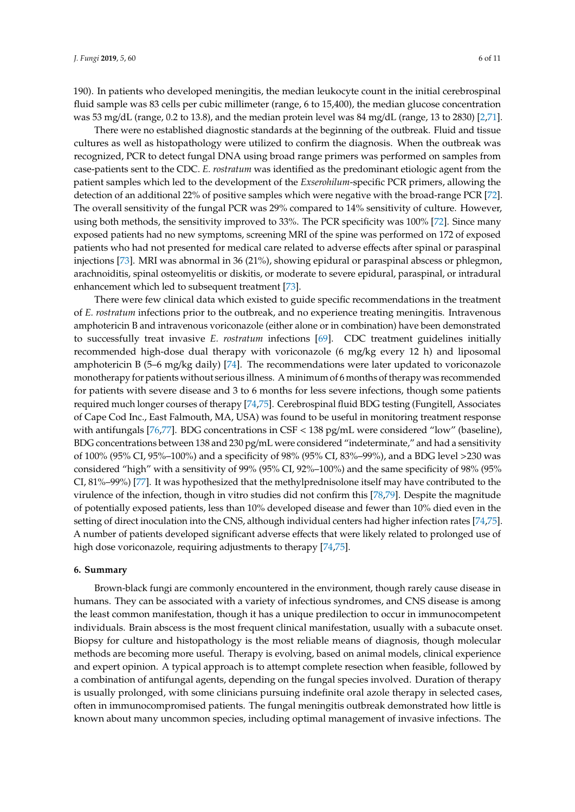190). In patients who developed meningitis, the median leukocyte count in the initial cerebrospinal fluid sample was 83 cells per cubic millimeter (range, 6 to 15,400), the median glucose concentration was 53 mg/dL (range, 0.2 to 13.8), and the median protein level was 84 mg/dL (range, 13 to 2830) [\[2](#page-6-19)[,71\]](#page-9-9).

There were no established diagnostic standards at the beginning of the outbreak. Fluid and tissue cultures as well as histopathology were utilized to confirm the diagnosis. When the outbreak was recognized, PCR to detect fungal DNA using broad range primers was performed on samples from case-patients sent to the CDC. *E. rostratum* was identified as the predominant etiologic agent from the patient samples which led to the development of the *Exserohilum*-specific PCR primers, allowing the detection of an additional 22% of positive samples which were negative with the broad-range PCR [\[72\]](#page-9-10). The overall sensitivity of the fungal PCR was 29% compared to 14% sensitivity of culture. However, using both methods, the sensitivity improved to 33%. The PCR specificity was 100% [\[72\]](#page-9-10). Since many exposed patients had no new symptoms, screening MRI of the spine was performed on 172 of exposed patients who had not presented for medical care related to adverse effects after spinal or paraspinal injections [\[73\]](#page-9-11). MRI was abnormal in 36 (21%), showing epidural or paraspinal abscess or phlegmon, arachnoiditis, spinal osteomyelitis or diskitis, or moderate to severe epidural, paraspinal, or intradural enhancement which led to subsequent treatment [\[73\]](#page-9-11).

There were few clinical data which existed to guide specific recommendations in the treatment of *E. rostratum* infections prior to the outbreak, and no experience treating meningitis. Intravenous amphotericin B and intravenous voriconazole (either alone or in combination) have been demonstrated to successfully treat invasive *E. rostratum* infections [\[69\]](#page-9-7). CDC treatment guidelines initially recommended high-dose dual therapy with voriconazole (6 mg/kg every 12 h) and liposomal amphotericin B (5–6 mg/kg daily) [\[74\]](#page-9-12). The recommendations were later updated to voriconazole monotherapy for patients without serious illness. A minimum of 6 months of therapy was recommended for patients with severe disease and 3 to 6 months for less severe infections, though some patients required much longer courses of therapy [\[74](#page-9-12)[,75\]](#page-9-13). Cerebrospinal fluid BDG testing (Fungitell, Associates of Cape Cod Inc., East Falmouth, MA, USA) was found to be useful in monitoring treatment response with antifungals [\[76,](#page-9-14)[77\]](#page-9-15). BDG concentrations in CSF < 138 pg/mL were considered "low" (baseline), BDG concentrations between 138 and 230 pg/mL were considered "indeterminate," and had a sensitivity of 100% (95% CI, 95%–100%) and a specificity of 98% (95% CI, 83%–99%), and a BDG level >230 was considered "high" with a sensitivity of 99% (95% CI, 92%–100%) and the same specificity of 98% (95% CI, 81%–99%) [\[77\]](#page-9-15). It was hypothesized that the methylprednisolone itself may have contributed to the virulence of the infection, though in vitro studies did not confirm this [\[78,](#page-10-0)[79\]](#page-10-1). Despite the magnitude of potentially exposed patients, less than 10% developed disease and fewer than 10% died even in the setting of direct inoculation into the CNS, although individual centers had higher infection rates [\[74](#page-9-12)[,75\]](#page-9-13). A number of patients developed significant adverse effects that were likely related to prolonged use of high dose voriconazole, requiring adjustments to therapy [\[74](#page-9-12)[,75\]](#page-9-13).

#### **6. Summary**

Brown-black fungi are commonly encountered in the environment, though rarely cause disease in humans. They can be associated with a variety of infectious syndromes, and CNS disease is among the least common manifestation, though it has a unique predilection to occur in immunocompetent individuals. Brain abscess is the most frequent clinical manifestation, usually with a subacute onset. Biopsy for culture and histopathology is the most reliable means of diagnosis, though molecular methods are becoming more useful. Therapy is evolving, based on animal models, clinical experience and expert opinion. A typical approach is to attempt complete resection when feasible, followed by a combination of antifungal agents, depending on the fungal species involved. Duration of therapy is usually prolonged, with some clinicians pursuing indefinite oral azole therapy in selected cases, often in immunocompromised patients. The fungal meningitis outbreak demonstrated how little is known about many uncommon species, including optimal management of invasive infections. The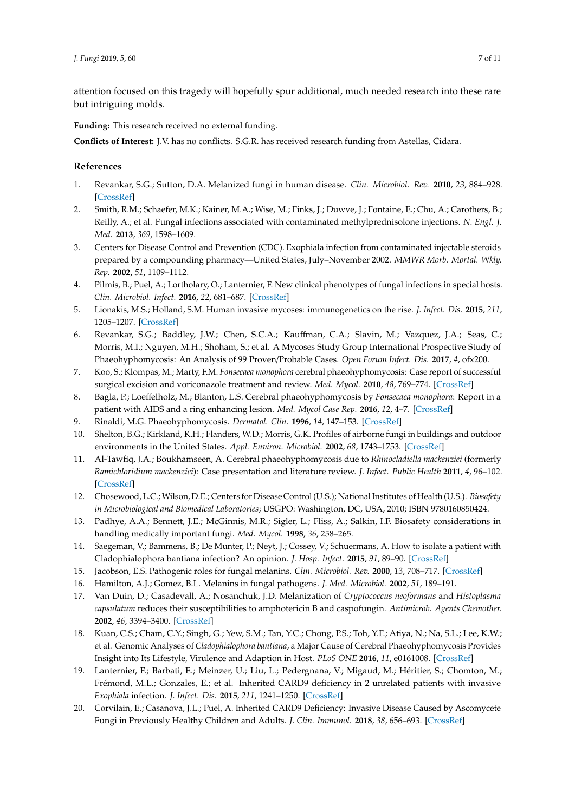attention focused on this tragedy will hopefully spur additional, much needed research into these rare but intriguing molds.

**Funding:** This research received no external funding.

**Conflicts of Interest:** J.V. has no conflicts. S.G.R. has received research funding from Astellas, Cidara.

# **References**

- <span id="page-6-0"></span>1. Revankar, S.G.; Sutton, D.A. Melanized fungi in human disease. *Clin. Microbiol. Rev.* **2010**, *23*, 884–928. [\[CrossRef\]](http://dx.doi.org/10.1128/CMR.00019-10)
- <span id="page-6-19"></span>2. Smith, R.M.; Schaefer, M.K.; Kainer, M.A.; Wise, M.; Finks, J.; Duwve, J.; Fontaine, E.; Chu, A.; Carothers, B.; Reilly, A.; et al. Fungal infections associated with contaminated methylprednisolone injections. *N. Engl. J. Med.* **2013**, *369*, 1598–1609.
- <span id="page-6-1"></span>3. Centers for Disease Control and Prevention (CDC). Exophiala infection from contaminated injectable steroids prepared by a compounding pharmacy—United States, July–November 2002. *MMWR Morb. Mortal. Wkly. Rep.* **2002**, *51*, 1109–1112.
- <span id="page-6-2"></span>4. Pilmis, B.; Puel, A.; Lortholary, O.; Lanternier, F. New clinical phenotypes of fungal infections in special hosts. *Clin. Microbiol. Infect.* **2016**, *22*, 681–687. [\[CrossRef\]](http://dx.doi.org/10.1016/j.cmi.2016.05.016)
- <span id="page-6-3"></span>5. Lionakis, M.S.; Holland, S.M. Human invasive mycoses: immunogenetics on the rise. *J. Infect. Dis.* **2015**, *211*, 1205–1207. [\[CrossRef\]](http://dx.doi.org/10.1093/infdis/jiu411)
- <span id="page-6-4"></span>6. Revankar, S.G.; Baddley, J.W.; Chen, S.C.A.; Kauffman, C.A.; Slavin, M.; Vazquez, J.A.; Seas, C.; Morris, M.I.; Nguyen, M.H.; Shoham, S.; et al. A Mycoses Study Group International Prospective Study of Phaeohyphomycosis: An Analysis of 99 Proven/Probable Cases. *Open Forum Infect. Dis.* **2017**, *4*, ofx200.
- <span id="page-6-5"></span>7. Koo, S.; Klompas, M.; Marty, F.M. *Fonsecaea monophora* cerebral phaeohyphomycosis: Case report of successful surgical excision and voriconazole treatment and review. *Med. Mycol.* **2010**, *48*, 769–774. [\[CrossRef\]](http://dx.doi.org/10.3109/13693780903471081)
- <span id="page-6-6"></span>8. Bagla, P.; Loeffelholz, M.; Blanton, L.S. Cerebral phaeohyphomycosis by *Fonsecaea monophora*: Report in a patient with AIDS and a ring enhancing lesion. *Med. Mycol Case Rep.* **2016**, *12*, 4–7. [\[CrossRef\]](http://dx.doi.org/10.1016/j.mmcr.2016.06.002)
- <span id="page-6-7"></span>9. Rinaldi, M.G. Phaeohyphomycosis. *Dermatol. Clin.* **1996**, *14*, 147–153. [\[CrossRef\]](http://dx.doi.org/10.1016/S0733-8635(05)70335-1)
- <span id="page-6-8"></span>10. Shelton, B.G.; Kirkland, K.H.; Flanders, W.D.; Morris, G.K. Profiles of airborne fungi in buildings and outdoor environments in the United States. *Appl. Environ. Microbiol.* **2002**, *68*, 1743–1753. [\[CrossRef\]](http://dx.doi.org/10.1128/AEM.68.4.1743-1753.2002)
- <span id="page-6-9"></span>11. Al-Tawfiq, J.A.; Boukhamseen, A. Cerebral phaeohyphomycosis due to *Rhinocladiella mackenziei* (formerly *Ramichloridium mackenziei*): Case presentation and literature review. *J. Infect. Public Health* **2011**, *4*, 96–102. [\[CrossRef\]](http://dx.doi.org/10.1016/j.jiph.2011.01.001)
- <span id="page-6-10"></span>12. Chosewood, L.C.; Wilson, D.E.; Centers for Disease Control (U.S.); National Institutes of Health (U.S.). *Biosafety in Microbiological and Biomedical Laboratories*; USGPO: Washington, DC, USA, 2010; ISBN 9780160850424.
- <span id="page-6-11"></span>13. Padhye, A.A.; Bennett, J.E.; McGinnis, M.R.; Sigler, L.; Fliss, A.; Salkin, I.F. Biosafety considerations in handling medically important fungi. *Med. Mycol.* **1998**, *36*, 258–265.
- <span id="page-6-12"></span>14. Saegeman, V.; Bammens, B.; De Munter, P.; Neyt, J.; Cossey, V.; Schuermans, A. How to isolate a patient with Cladophialophora bantiana infection? An opinion. *J. Hosp. Infect.* **2015**, *91*, 89–90. [\[CrossRef\]](http://dx.doi.org/10.1016/j.jhin.2015.05.005)
- <span id="page-6-13"></span>15. Jacobson, E.S. Pathogenic roles for fungal melanins. *Clin. Microbiol. Rev.* **2000**, *13*, 708–717. [\[CrossRef\]](http://dx.doi.org/10.1128/CMR.13.4.708)
- <span id="page-6-14"></span>16. Hamilton, A.J.; Gomez, B.L. Melanins in fungal pathogens. *J. Med. Microbiol.* **2002**, *51*, 189–191.
- <span id="page-6-15"></span>17. Van Duin, D.; Casadevall, A.; Nosanchuk, J.D. Melanization of *Cryptococcus neoformans* and *Histoplasma capsulatum* reduces their susceptibilities to amphotericin B and caspofungin. *Antimicrob. Agents Chemother.* **2002**, *46*, 3394–3400. [\[CrossRef\]](http://dx.doi.org/10.1128/AAC.46.11.3394-3400.2002)
- <span id="page-6-16"></span>18. Kuan, C.S.; Cham, C.Y.; Singh, G.; Yew, S.M.; Tan, Y.C.; Chong, P.S.; Toh, Y.F.; Atiya, N.; Na, S.L.; Lee, K.W.; et al. Genomic Analyses of *Cladophialophora bantiana*, a Major Cause of Cerebral Phaeohyphomycosis Provides Insight into Its Lifestyle, Virulence and Adaption in Host. *PLoS ONE* **2016**, *11*, e0161008. [\[CrossRef\]](http://dx.doi.org/10.1371/journal.pone.0161008)
- <span id="page-6-17"></span>19. Lanternier, F.; Barbati, E.; Meinzer, U.; Liu, L.; Pedergnana, V.; Migaud, M.; Héritier, S.; Chomton, M.; Frémond, M.L.; Gonzales, E.; et al. Inherited CARD9 deficiency in 2 unrelated patients with invasive *Exophiala* infection. *J. Infect. Dis.* **2015**, *211*, 1241–1250. [\[CrossRef\]](http://dx.doi.org/10.1093/infdis/jiu412)
- <span id="page-6-18"></span>20. Corvilain, E.; Casanova, J.L.; Puel, A. Inherited CARD9 Deficiency: Invasive Disease Caused by Ascomycete Fungi in Previously Healthy Children and Adults. *J. Clin. Immunol.* **2018**, *38*, 656–693. [\[CrossRef\]](http://dx.doi.org/10.1007/s10875-018-0539-2)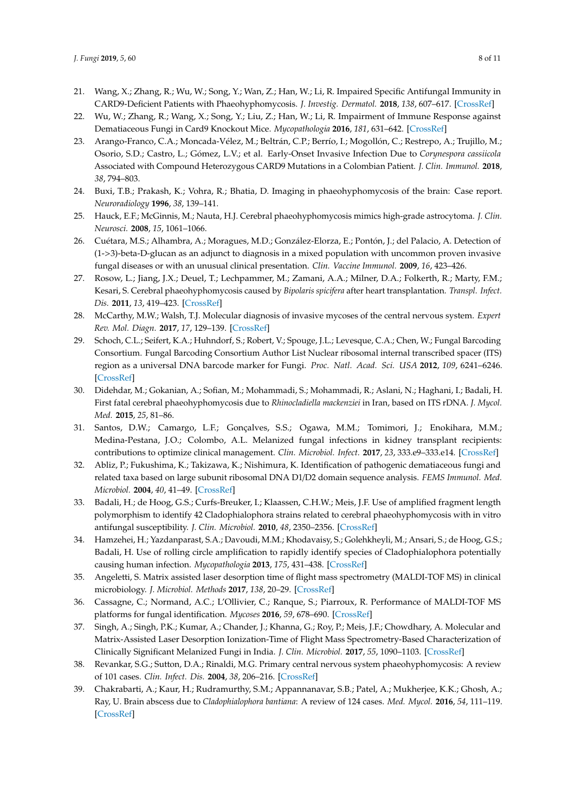- <span id="page-7-0"></span>21. Wang, X.; Zhang, R.; Wu, W.; Song, Y.; Wan, Z.; Han, W.; Li, R. Impaired Specific Antifungal Immunity in CARD9-Deficient Patients with Phaeohyphomycosis. *J. Investig. Dermatol.* **2018**, *138*, 607–617. [\[CrossRef\]](http://dx.doi.org/10.1016/j.jid.2017.10.009)
- <span id="page-7-1"></span>22. Wu, W.; Zhang, R.; Wang, X.; Song, Y.; Liu, Z.; Han, W.; Li, R. Impairment of Immune Response against Dematiaceous Fungi in Card9 Knockout Mice. *Mycopathologia* **2016**, *181*, 631–642. [\[CrossRef\]](http://dx.doi.org/10.1007/s11046-016-0029-0)
- <span id="page-7-2"></span>23. Arango-Franco, C.A.; Moncada-Vélez, M.; Beltrán, C.P.; Berrío, I.; Mogollón, C.; Restrepo, A.; Trujillo, M.; Osorio, S.D.; Castro, L.; Gómez, L.V.; et al. Early-Onset Invasive Infection Due to *Corynespora cassiicola* Associated with Compound Heterozygous CARD9 Mutations in a Colombian Patient. *J. Clin. Immunol.* **2018**, *38*, 794–803.
- <span id="page-7-3"></span>24. Buxi, T.B.; Prakash, K.; Vohra, R.; Bhatia, D. Imaging in phaeohyphomycosis of the brain: Case report. *Neuroradiology* **1996**, *38*, 139–141.
- <span id="page-7-4"></span>25. Hauck, E.F.; McGinnis, M.; Nauta, H.J. Cerebral phaeohyphomycosis mimics high-grade astrocytoma. *J. Clin. Neurosci.* **2008**, *15*, 1061–1066.
- <span id="page-7-5"></span>26. Cuétara, M.S.; Alhambra, A.; Moragues, M.D.; González-Elorza, E.; Pontón, J.; del Palacio, A. Detection of (1->3)-beta-D-glucan as an adjunct to diagnosis in a mixed population with uncommon proven invasive fungal diseases or with an unusual clinical presentation. *Clin. Vaccine Immunol.* **2009**, *16*, 423–426.
- <span id="page-7-18"></span>27. Rosow, L.; Jiang, J.X.; Deuel, T.; Lechpammer, M.; Zamani, A.A.; Milner, D.A.; Folkerth, R.; Marty, F.M.; Kesari, S. Cerebral phaeohyphomycosis caused by *Bipolaris spicifera* after heart transplantation. *Transpl. Infect. Dis.* **2011**, *13*, 419–423. [\[CrossRef\]](http://dx.doi.org/10.1111/j.1399-3062.2011.00610.x)
- <span id="page-7-6"></span>28. McCarthy, M.W.; Walsh, T.J. Molecular diagnosis of invasive mycoses of the central nervous system. *Expert Rev. Mol. Diagn.* **2017**, *17*, 129–139. [\[CrossRef\]](http://dx.doi.org/10.1080/14737159.2017.1271716)
- <span id="page-7-7"></span>29. Schoch, C.L.; Seifert, K.A.; Huhndorf, S.; Robert, V.; Spouge, J.L.; Levesque, C.A.; Chen, W.; Fungal Barcoding Consortium. Fungal Barcoding Consortium Author List Nuclear ribosomal internal transcribed spacer (ITS) region as a universal DNA barcode marker for Fungi. *Proc. Natl. Acad. Sci. USA* **2012**, *109*, 6241–6246. [\[CrossRef\]](http://dx.doi.org/10.1073/pnas.1117018109)
- <span id="page-7-8"></span>30. Didehdar, M.; Gokanian, A.; Sofian, M.; Mohammadi, S.; Mohammadi, R.; Aslani, N.; Haghani, I.; Badali, H. First fatal cerebral phaeohyphomycosis due to *Rhinocladiella mackenziei* in Iran, based on ITS rDNA. *J. Mycol. Med.* **2015**, *25*, 81–86.
- <span id="page-7-9"></span>31. Santos, D.W.; Camargo, L.F.; Gonçalves, S.S.; Ogawa, M.M.; Tomimori, J.; Enokihara, M.M.; Medina-Pestana, J.O.; Colombo, A.L. Melanized fungal infections in kidney transplant recipients: contributions to optimize clinical management. *Clin. Microbiol. Infect.* **2017**, *23*, 333.e9–333.e14. [\[CrossRef\]](http://dx.doi.org/10.1016/j.cmi.2016.12.024)
- <span id="page-7-10"></span>32. Abliz, P.; Fukushima, K.; Takizawa, K.; Nishimura, K. Identification of pathogenic dematiaceous fungi and related taxa based on large subunit ribosomal DNA D1/D2 domain sequence analysis. *FEMS Immunol. Med. Microbiol.* **2004**, *40*, 41–49. [\[CrossRef\]](http://dx.doi.org/10.1016/S0928-8244(03)00275-X)
- <span id="page-7-11"></span>33. Badali, H.; de Hoog, G.S.; Curfs-Breuker, I.; Klaassen, C.H.W.; Meis, J.F. Use of amplified fragment length polymorphism to identify 42 Cladophialophora strains related to cerebral phaeohyphomycosis with in vitro antifungal susceptibility. *J. Clin. Microbiol.* **2010**, *48*, 2350–2356. [\[CrossRef\]](http://dx.doi.org/10.1128/JCM.00653-10)
- <span id="page-7-12"></span>34. Hamzehei, H.; Yazdanparast, S.A.; Davoudi, M.M.; Khodavaisy, S.; Golehkheyli, M.; Ansari, S.; de Hoog, G.S.; Badali, H. Use of rolling circle amplification to rapidly identify species of Cladophialophora potentially causing human infection. *Mycopathologia* **2013**, *175*, 431–438. [\[CrossRef\]](http://dx.doi.org/10.1007/s11046-013-9630-7)
- <span id="page-7-13"></span>35. Angeletti, S. Matrix assisted laser desorption time of flight mass spectrometry (MALDI-TOF MS) in clinical microbiology. *J. Microbiol. Methods* **2017**, *138*, 20–29. [\[CrossRef\]](http://dx.doi.org/10.1016/j.mimet.2016.09.003)
- <span id="page-7-14"></span>36. Cassagne, C.; Normand, A.C.; L'Ollivier, C.; Ranque, S.; Piarroux, R. Performance of MALDI-TOF MS platforms for fungal identification. *Mycoses* **2016**, *59*, 678–690. [\[CrossRef\]](http://dx.doi.org/10.1111/myc.12506)
- <span id="page-7-15"></span>37. Singh, A.; Singh, P.K.; Kumar, A.; Chander, J.; Khanna, G.; Roy, P.; Meis, J.F.; Chowdhary, A. Molecular and Matrix-Assisted Laser Desorption Ionization-Time of Flight Mass Spectrometry-Based Characterization of Clinically Significant Melanized Fungi in India. *J. Clin. Microbiol.* **2017**, *55*, 1090–1103. [\[CrossRef\]](http://dx.doi.org/10.1128/JCM.02413-16)
- <span id="page-7-16"></span>38. Revankar, S.G.; Sutton, D.A.; Rinaldi, M.G. Primary central nervous system phaeohyphomycosis: A review of 101 cases. *Clin. Infect. Dis.* **2004**, *38*, 206–216. [\[CrossRef\]](http://dx.doi.org/10.1086/380635)
- <span id="page-7-17"></span>39. Chakrabarti, A.; Kaur, H.; Rudramurthy, S.M.; Appannanavar, S.B.; Patel, A.; Mukherjee, K.K.; Ghosh, A.; Ray, U. Brain abscess due to *Cladophialophora bantiana*: A review of 124 cases. *Med. Mycol.* **2016**, *54*, 111–119. [\[CrossRef\]](http://dx.doi.org/10.1093/mmy/myv091)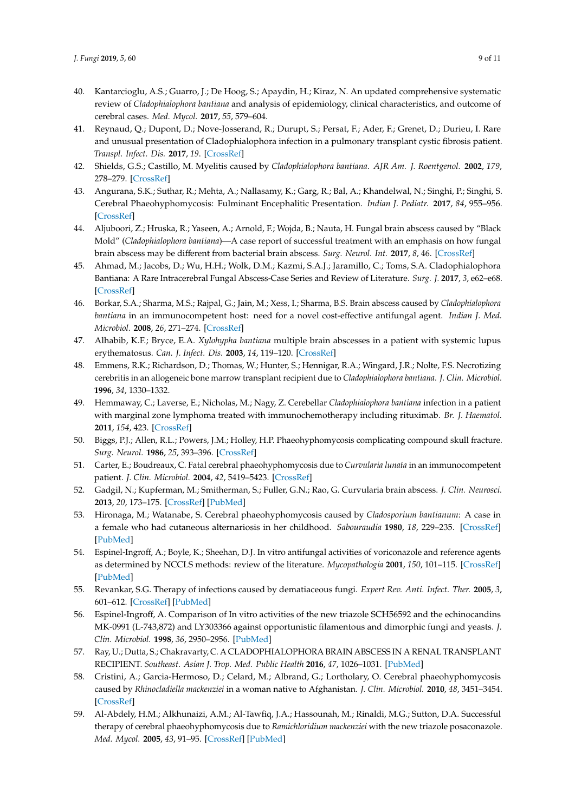- <span id="page-8-0"></span>40. Kantarcioglu, A.S.; Guarro, J.; De Hoog, S.; Apaydin, H.; Kiraz, N. An updated comprehensive systematic review of *Cladophialophora bantiana* and analysis of epidemiology, clinical characteristics, and outcome of cerebral cases. *Med. Mycol.* **2017**, *55*, 579–604.
- <span id="page-8-1"></span>41. Reynaud, Q.; Dupont, D.; Nove-Josserand, R.; Durupt, S.; Persat, F.; Ader, F.; Grenet, D.; Durieu, I. Rare and unusual presentation of Cladophialophora infection in a pulmonary transplant cystic fibrosis patient. *Transpl. Infect. Dis.* **2017**, *19*. [\[CrossRef\]](http://dx.doi.org/10.1111/tid.12789)
- <span id="page-8-2"></span>42. Shields, G.S.; Castillo, M. Myelitis caused by *Cladophialophora bantiana*. *AJR Am. J. Roentgenol.* **2002**, *179*, 278–279. [\[CrossRef\]](http://dx.doi.org/10.2214/ajr.179.1.1790278)
- <span id="page-8-3"></span>43. Angurana, S.K.; Suthar, R.; Mehta, A.; Nallasamy, K.; Garg, R.; Bal, A.; Khandelwal, N.; Singhi, P.; Singhi, S. Cerebral Phaeohyphomycosis: Fulminant Encephalitic Presentation. *Indian J. Pediatr.* **2017**, *84*, 955–956. [\[CrossRef\]](http://dx.doi.org/10.1007/s12098-017-2352-y)
- <span id="page-8-16"></span>44. Aljuboori, Z.; Hruska, R.; Yaseen, A.; Arnold, F.; Wojda, B.; Nauta, H. Fungal brain abscess caused by "Black Mold" (*Cladophialophora bantiana*)—A case report of successful treatment with an emphasis on how fungal brain abscess may be different from bacterial brain abscess. *Surg. Neurol. Int.* **2017**, *8*, 46. [\[CrossRef\]](http://dx.doi.org/10.4103/sni.sni_448_16)
- <span id="page-8-17"></span>45. Ahmad, M.; Jacobs, D.; Wu, H.H.; Wolk, D.M.; Kazmi, S.A.J.; Jaramillo, C.; Toms, S.A. Cladophialophora Bantiana: A Rare Intracerebral Fungal Abscess-Case Series and Review of Literature. *Surg. J.* **2017**, *3*, e62–e68. [\[CrossRef\]](http://dx.doi.org/10.1055/s-0037-1598248)
- <span id="page-8-4"></span>46. Borkar, S.A.; Sharma, M.S.; Rajpal, G.; Jain, M.; Xess, I.; Sharma, B.S. Brain abscess caused by *Cladophialophora bantiana* in an immunocompetent host: need for a novel cost-effective antifungal agent. *Indian J. Med. Microbiol.* **2008**, *26*, 271–274. [\[CrossRef\]](http://dx.doi.org/10.4103/0255-0857.42050)
- <span id="page-8-5"></span>47. Alhabib, K.F.; Bryce, E.A. *Xylohypha bantiana* multiple brain abscesses in a patient with systemic lupus erythematosus. *Can. J. Infect. Dis.* **2003**, *14*, 119–120. [\[CrossRef\]](http://dx.doi.org/10.1155/2003/643425)
- 48. Emmens, R.K.; Richardson, D.; Thomas, W.; Hunter, S.; Hennigar, R.A.; Wingard, J.R.; Nolte, F.S. Necrotizing cerebritis in an allogeneic bone marrow transplant recipient due to *Cladophialophora bantiana*. *J. Clin. Microbiol.* **1996**, *34*, 1330–1332.
- <span id="page-8-6"></span>49. Hemmaway, C.; Laverse, E.; Nicholas, M.; Nagy, Z. Cerebellar *Cladophialophora bantiana* infection in a patient with marginal zone lymphoma treated with immunochemotherapy including rituximab. *Br. J. Haematol.* **2011**, *154*, 423. [\[CrossRef\]](http://dx.doi.org/10.1111/j.1365-2141.2011.08673.x)
- <span id="page-8-7"></span>50. Biggs, P.J.; Allen, R.L.; Powers, J.M.; Holley, H.P. Phaeohyphomycosis complicating compound skull fracture. *Surg. Neurol.* **1986**, *25*, 393–396. [\[CrossRef\]](http://dx.doi.org/10.1016/0090-3019(86)90216-8)
- 51. Carter, E.; Boudreaux, C. Fatal cerebral phaeohyphomycosis due to *Curvularia lunata* in an immunocompetent patient. *J. Clin. Microbiol.* **2004**, *42*, 5419–5423. [\[CrossRef\]](http://dx.doi.org/10.1128/JCM.42.11.5419-5423.2004)
- <span id="page-8-8"></span>52. Gadgil, N.; Kupferman, M.; Smitherman, S.; Fuller, G.N.; Rao, G. Curvularia brain abscess. *J. Clin. Neurosci.* **2013**, *20*, 173–175. [\[CrossRef\]](http://dx.doi.org/10.1016/j.jocn.2012.05.012) [\[PubMed\]](http://www.ncbi.nlm.nih.gov/pubmed/22989791)
- <span id="page-8-9"></span>53. Hironaga, M.; Watanabe, S. Cerebral phaeohyphomycosis caused by *Cladosporium bantianum*: A case in a female who had cutaneous alternariosis in her childhood. *Sabouraudia* **1980**, *18*, 229–235. [\[CrossRef\]](http://dx.doi.org/10.1080/00362178085380371) [\[PubMed\]](http://www.ncbi.nlm.nih.gov/pubmed/7434133)
- <span id="page-8-10"></span>54. Espinel-Ingroff, A.; Boyle, K.; Sheehan, D.J. In vitro antifungal activities of voriconazole and reference agents as determined by NCCLS methods: review of the literature. *Mycopathologia* **2001**, *150*, 101–115. [\[CrossRef\]](http://dx.doi.org/10.1023/A:1010954803886) [\[PubMed\]](http://www.ncbi.nlm.nih.gov/pubmed/11469757)
- <span id="page-8-11"></span>55. Revankar, S.G. Therapy of infections caused by dematiaceous fungi. *Expert Rev. Anti. Infect. Ther.* **2005**, *3*, 601–612. [\[CrossRef\]](http://dx.doi.org/10.1586/14787210.3.4.601) [\[PubMed\]](http://www.ncbi.nlm.nih.gov/pubmed/16107199)
- <span id="page-8-12"></span>56. Espinel-Ingroff, A. Comparison of In vitro activities of the new triazole SCH56592 and the echinocandins MK-0991 (L-743,872) and LY303366 against opportunistic filamentous and dimorphic fungi and yeasts. *J. Clin. Microbiol.* **1998**, *36*, 2950–2956. [\[PubMed\]](http://www.ncbi.nlm.nih.gov/pubmed/9738049)
- <span id="page-8-13"></span>57. Ray, U.; Dutta, S.; Chakravarty, C. A CLADOPHIALOPHORA BRAIN ABSCESS IN A RENAL TRANSPLANT RECIPIENT. *Southeast. Asian J. Trop. Med. Public Health* **2016**, *47*, 1026–1031. [\[PubMed\]](http://www.ncbi.nlm.nih.gov/pubmed/29620810)
- <span id="page-8-14"></span>58. Cristini, A.; Garcia-Hermoso, D.; Celard, M.; Albrand, G.; Lortholary, O. Cerebral phaeohyphomycosis caused by *Rhinocladiella mackenziei* in a woman native to Afghanistan. *J. Clin. Microbiol.* **2010**, *48*, 3451–3454. [\[CrossRef\]](http://dx.doi.org/10.1128/JCM.00924-10)
- <span id="page-8-15"></span>59. Al-Abdely, H.M.; Alkhunaizi, A.M.; Al-Tawfiq, J.A.; Hassounah, M.; Rinaldi, M.G.; Sutton, D.A. Successful therapy of cerebral phaeohyphomycosis due to *Ramichloridium mackenziei* with the new triazole posaconazole. *Med. Mycol.* **2005**, *43*, 91–95. [\[CrossRef\]](http://dx.doi.org/10.1080/13693780400011104) [\[PubMed\]](http://www.ncbi.nlm.nih.gov/pubmed/15712614)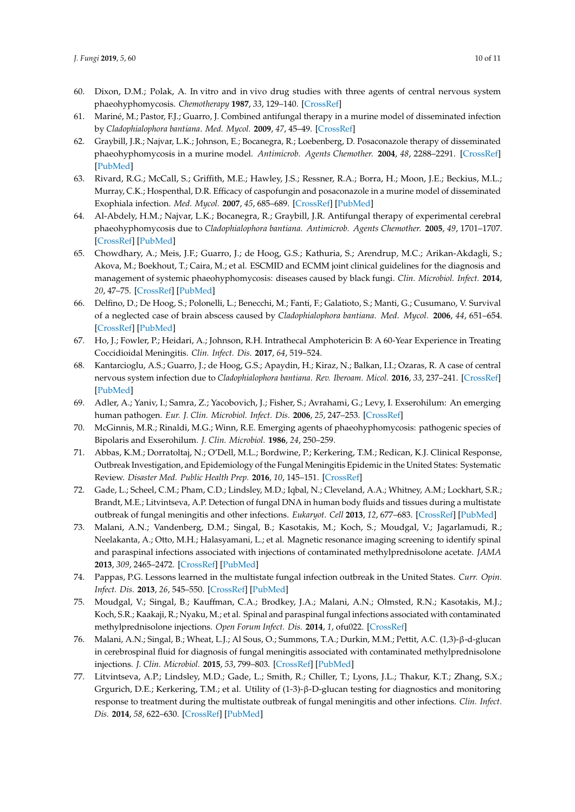- <span id="page-9-0"></span>60. Dixon, D.M.; Polak, A. In vitro and in vivo drug studies with three agents of central nervous system phaeohyphomycosis. *Chemotherapy* **1987**, *33*, 129–140. [\[CrossRef\]](http://dx.doi.org/10.1159/000238485)
- <span id="page-9-1"></span>61. Mariné, M.; Pastor, F.J.; Guarro, J. Combined antifungal therapy in a murine model of disseminated infection by *Cladophialophora bantiana*. *Med. Mycol.* **2009**, *47*, 45–49. [\[CrossRef\]](http://dx.doi.org/10.1080/13693780802526840)
- 62. Graybill, J.R.; Najvar, L.K.; Johnson, E.; Bocanegra, R.; Loebenberg, D. Posaconazole therapy of disseminated phaeohyphomycosis in a murine model. *Antimicrob. Agents Chemother.* **2004**, *48*, 2288–2291. [\[CrossRef\]](http://dx.doi.org/10.1128/AAC.48.6.2288-2291.2004) [\[PubMed\]](http://www.ncbi.nlm.nih.gov/pubmed/15155236)
- 63. Rivard, R.G.; McCall, S.; Griffith, M.E.; Hawley, J.S.; Ressner, R.A.; Borra, H.; Moon, J.E.; Beckius, M.L.; Murray, C.K.; Hospenthal, D.R. Efficacy of caspofungin and posaconazole in a murine model of disseminated Exophiala infection. *Med. Mycol.* **2007**, *45*, 685–689. [\[CrossRef\]](http://dx.doi.org/10.1080/13693780701390157) [\[PubMed\]](http://www.ncbi.nlm.nih.gov/pubmed/17885951)
- <span id="page-9-2"></span>64. Al-Abdely, H.M.; Najvar, L.K.; Bocanegra, R.; Graybill, J.R. Antifungal therapy of experimental cerebral phaeohyphomycosis due to *Cladophialophora bantiana*. *Antimicrob. Agents Chemother.* **2005**, *49*, 1701–1707. [\[CrossRef\]](http://dx.doi.org/10.1128/AAC.49.5.1701-1707.2005) [\[PubMed\]](http://www.ncbi.nlm.nih.gov/pubmed/15855484)
- <span id="page-9-3"></span>65. Chowdhary, A.; Meis, J.F.; Guarro, J.; de Hoog, G.S.; Kathuria, S.; Arendrup, M.C.; Arikan-Akdagli, S.; Akova, M.; Boekhout, T.; Caira, M.; et al. ESCMID and ECMM joint clinical guidelines for the diagnosis and management of systemic phaeohyphomycosis: diseases caused by black fungi. *Clin. Microbiol. Infect.* **2014**, *20*, 47–75. [\[CrossRef\]](http://dx.doi.org/10.1111/1469-0691.12515) [\[PubMed\]](http://www.ncbi.nlm.nih.gov/pubmed/24483780)
- <span id="page-9-4"></span>66. Delfino, D.; De Hoog, S.; Polonelli, L.; Benecchi, M.; Fanti, F.; Galatioto, S.; Manti, G.; Cusumano, V. Survival of a neglected case of brain abscess caused by *Cladophialophora bantiana*. *Med. Mycol.* **2006**, *44*, 651–654. [\[CrossRef\]](http://dx.doi.org/10.1080/13693780600637690) [\[PubMed\]](http://www.ncbi.nlm.nih.gov/pubmed/17071560)
- <span id="page-9-5"></span>67. Ho, J.; Fowler, P.; Heidari, A.; Johnson, R.H. Intrathecal Amphotericin B: A 60-Year Experience in Treating Coccidioidal Meningitis. *Clin. Infect. Dis.* **2017**, *64*, 519–524.
- <span id="page-9-6"></span>68. Kantarcioglu, A.S.; Guarro, J.; de Hoog, G.S.; Apaydin, H.; Kiraz, N.; Balkan, I.I.; Ozaras, R. A case of central nervous system infection due to *Cladophialophora bantiana*. *Rev. Iberoam. Micol.* **2016**, *33*, 237–241. [\[CrossRef\]](http://dx.doi.org/10.1016/j.riam.2016.01.004) [\[PubMed\]](http://www.ncbi.nlm.nih.gov/pubmed/27453395)
- <span id="page-9-7"></span>69. Adler, A.; Yaniv, I.; Samra, Z.; Yacobovich, J.; Fisher, S.; Avrahami, G.; Levy, I. Exserohilum: An emerging human pathogen. *Eur. J. Clin. Microbiol. Infect. Dis.* **2006**, *25*, 247–253. [\[CrossRef\]](http://dx.doi.org/10.1007/s10096-006-0093-3)
- <span id="page-9-8"></span>70. McGinnis, M.R.; Rinaldi, M.G.; Winn, R.E. Emerging agents of phaeohyphomycosis: pathogenic species of Bipolaris and Exserohilum. *J. Clin. Microbiol.* **1986**, *24*, 250–259.
- <span id="page-9-9"></span>71. Abbas, K.M.; Dorratoltaj, N.; O'Dell, M.L.; Bordwine, P.; Kerkering, T.M.; Redican, K.J. Clinical Response, Outbreak Investigation, and Epidemiology of the Fungal Meningitis Epidemic in the United States: Systematic Review. *Disaster Med. Public Health Prep.* **2016**, *10*, 145–151. [\[CrossRef\]](http://dx.doi.org/10.1017/dmp.2015.137)
- <span id="page-9-10"></span>72. Gade, L.; Scheel, C.M.; Pham, C.D.; Lindsley, M.D.; Iqbal, N.; Cleveland, A.A.; Whitney, A.M.; Lockhart, S.R.; Brandt, M.E.; Litvintseva, A.P. Detection of fungal DNA in human body fluids and tissues during a multistate outbreak of fungal meningitis and other infections. *Eukaryot. Cell* **2013**, *12*, 677–683. [\[CrossRef\]](http://dx.doi.org/10.1128/EC.00046-13) [\[PubMed\]](http://www.ncbi.nlm.nih.gov/pubmed/23457192)
- <span id="page-9-11"></span>73. Malani, A.N.; Vandenberg, D.M.; Singal, B.; Kasotakis, M.; Koch, S.; Moudgal, V.; Jagarlamudi, R.; Neelakanta, A.; Otto, M.H.; Halasyamani, L.; et al. Magnetic resonance imaging screening to identify spinal and paraspinal infections associated with injections of contaminated methylprednisolone acetate. *JAMA* **2013**, *309*, 2465–2472. [\[CrossRef\]](http://dx.doi.org/10.1001/jama.2013.6293) [\[PubMed\]](http://www.ncbi.nlm.nih.gov/pubmed/23780459)
- <span id="page-9-12"></span>74. Pappas, P.G. Lessons learned in the multistate fungal infection outbreak in the United States. *Curr. Opin. Infect. Dis.* **2013**, *26*, 545–550. [\[CrossRef\]](http://dx.doi.org/10.1097/QCO.0000000000000013) [\[PubMed\]](http://www.ncbi.nlm.nih.gov/pubmed/24152763)
- <span id="page-9-13"></span>75. Moudgal, V.; Singal, B.; Kauffman, C.A.; Brodkey, J.A.; Malani, A.N.; Olmsted, R.N.; Kasotakis, M.J.; Koch, S.R.; Kaakaji, R.; Nyaku, M.; et al. Spinal and paraspinal fungal infections associated with contaminated methylprednisolone injections. *Open Forum Infect. Dis.* **2014**, *1*, ofu022. [\[CrossRef\]](http://dx.doi.org/10.1093/ofid/ofu022)
- <span id="page-9-14"></span>76. Malani, A.N.; Singal, B.; Wheat, L.J.; Al Sous, O.; Summons, T.A.; Durkin, M.M.; Pettit, A.C. (1,3)-β-d-glucan in cerebrospinal fluid for diagnosis of fungal meningitis associated with contaminated methylprednisolone injections. *J. Clin. Microbiol.* **2015**, *53*, 799–803. [\[CrossRef\]](http://dx.doi.org/10.1128/JCM.02952-14) [\[PubMed\]](http://www.ncbi.nlm.nih.gov/pubmed/25540391)
- <span id="page-9-15"></span>77. Litvintseva, A.P.; Lindsley, M.D.; Gade, L.; Smith, R.; Chiller, T.; Lyons, J.L.; Thakur, K.T.; Zhang, S.X.; Grgurich, D.E.; Kerkering, T.M.; et al. Utility of (1-3)-β-D-glucan testing for diagnostics and monitoring response to treatment during the multistate outbreak of fungal meningitis and other infections. *Clin. Infect. Dis.* **2014**, *58*, 622–630. [\[CrossRef\]](http://dx.doi.org/10.1093/cid/cit808) [\[PubMed\]](http://www.ncbi.nlm.nih.gov/pubmed/24336827)